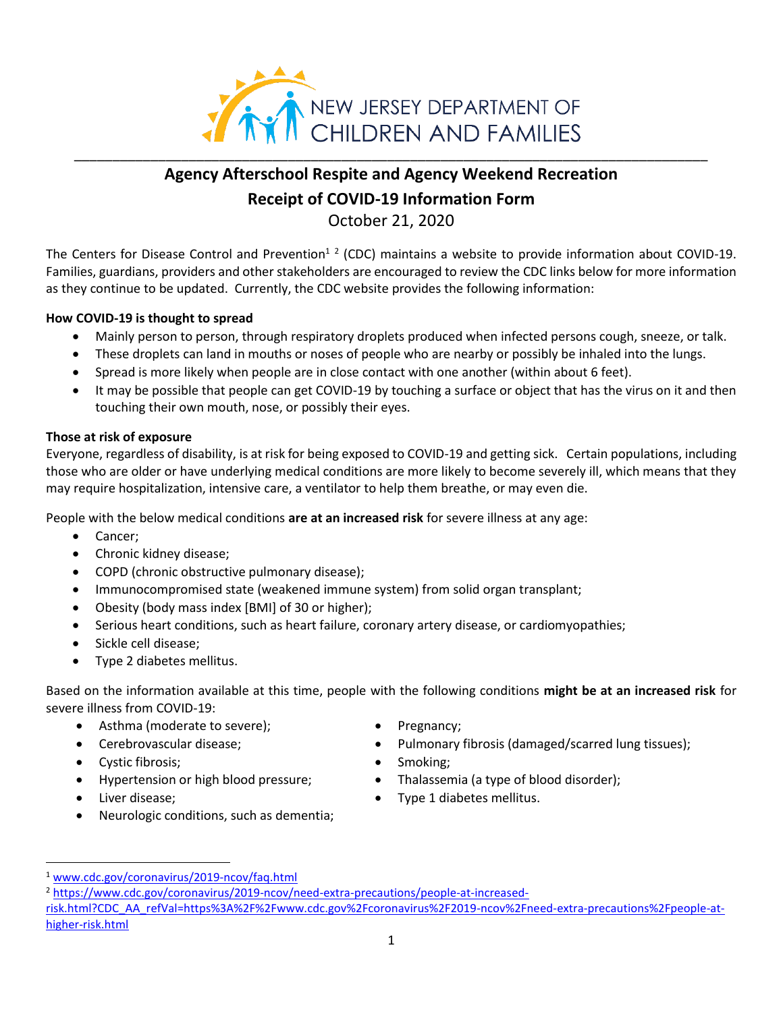

## **Agency Afterschool Respite and Agency Weekend Recreation Receipt of COVID-19 Information Form**

October 21, 2020

The Centers for Disease Control and Prevention<sup>12</sup> (CDC) maintains a website to provide information about COVID-19. Families, guardians, providers and other stakeholders are encouraged to review the CDC links below for more information as they continue to be updated. Currently, the CDC website provides the following information:

## **How COVID-19 is thought to spread**

- Mainly person to person, through respiratory droplets produced when infected persons cough, sneeze, or talk.
- These droplets can land in mouths or noses of people who are nearby or possibly be inhaled into the lungs.
- Spread is more likely when people are in close contact with one another (within about 6 feet).
- It may be possible that people can get COVID-19 by touching a surface or object that has the virus on it and then touching their own mouth, nose, or possibly their eyes.

## **Those at risk of exposure**

Everyone, regardless of disability, is at risk for being exposed to COVID-19 and getting sick. Certain populations, including those who are older or have underlying medical conditions are more likely to become severely ill, which means that they may require hospitalization, intensive care, a ventilator to help them breathe, or may even die.

People with the below medical conditions **are at an increased risk** for severe illness at any age:

- Cancer;
- Chronic kidney disease;
- COPD (chronic obstructive pulmonary disease);
- Immunocompromised state (weakened immune system) from solid organ transplant;
- Obesity (body mass index [BMI] of 30 or higher);
- Serious heart conditions, such as heart failure, coronary artery disease, or cardiomyopathies;
- Sickle cell disease;
- Type 2 diabetes mellitus.

Based on the information available at this time, people with the following conditions **might be at an increased risk** for severe illness from COVID-19:

- Asthma (moderate to severe); • Pregnancy;
- 
- Cystic fibrosis; Smoking;
- 
- 
- Neurologic conditions, such as dementia;
- 
- Cerebrovascular disease; • Pulmonary fibrosis (damaged/scarred lung tissues);
	-
- Hypertension or high blood pressure; • Thalassemia (a type of blood disorder);
- Liver disease; Type 1 diabetes mellitus.

<sup>1</sup> [www.cdc.gov/coronavirus/2019-ncov/faq.html](http://www.cdc.gov/coronavirus/2019-ncov/faq.html)

<sup>2</sup> [https://www.cdc.gov/coronavirus/2019-ncov/need-extra-precautions/people-at-increased](https://www.cdc.gov/coronavirus/2019-ncov/need-extra-precautions/people-at-increased-risk.html?CDC_AA_refVal=https%3A%2F%2Fwww.cdc.gov%2Fcoronavirus%2F2019-ncov%2Fneed-extra-precautions%2Fpeople-at-higher-risk.html)[risk.html?CDC\\_AA\\_refVal=https%3A%2F%2Fwww.cdc.gov%2Fcoronavirus%2F2019-ncov%2Fneed-extra-precautions%2Fpeople-at](https://www.cdc.gov/coronavirus/2019-ncov/need-extra-precautions/people-at-increased-risk.html?CDC_AA_refVal=https%3A%2F%2Fwww.cdc.gov%2Fcoronavirus%2F2019-ncov%2Fneed-extra-precautions%2Fpeople-at-higher-risk.html)[higher-risk.html](https://www.cdc.gov/coronavirus/2019-ncov/need-extra-precautions/people-at-increased-risk.html?CDC_AA_refVal=https%3A%2F%2Fwww.cdc.gov%2Fcoronavirus%2F2019-ncov%2Fneed-extra-precautions%2Fpeople-at-higher-risk.html)